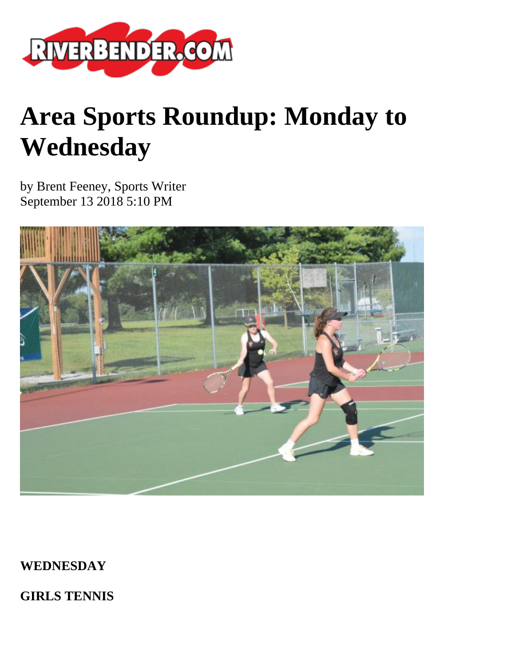

# **Area Sports Roundup: Monday to Wednesday**

by Brent Feeney, Sports Writer September 13 2018 5:10 PM



**WEDNESDAY**

**GIRLS TENNIS**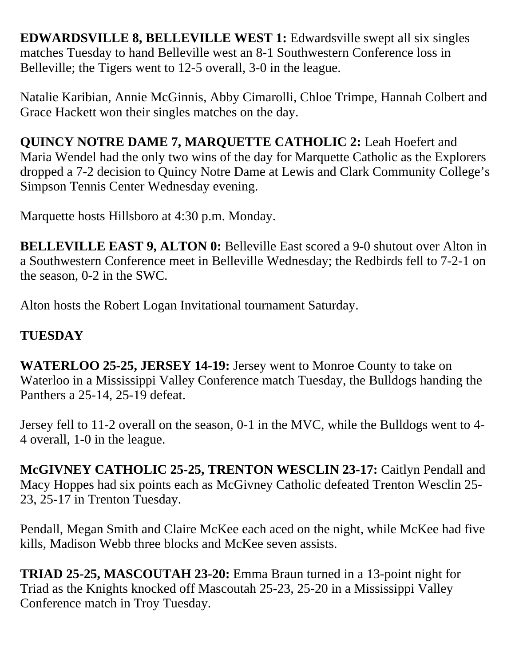**EDWARDSVILLE 8, BELLEVILLE WEST 1:** Edwardsville swept all six singles matches Tuesday to hand Belleville west an 8-1 Southwestern Conference loss in Belleville; the Tigers went to 12-5 overall, 3-0 in the league.

Natalie Karibian, Annie McGinnis, Abby Cimarolli, Chloe Trimpe, Hannah Colbert and Grace Hackett won their singles matches on the day.

**QUINCY NOTRE DAME 7, MARQUETTE CATHOLIC 2:** Leah Hoefert and Maria Wendel had the only two wins of the day for Marquette Catholic as the Explorers dropped a 7-2 decision to Quincy Notre Dame at Lewis and Clark Community College's Simpson Tennis Center Wednesday evening.

Marquette hosts Hillsboro at 4:30 p.m. Monday.

**BELLEVILLE EAST 9, ALTON 0: Belleville East scored a 9-0 shutout over Alton in** a Southwestern Conference meet in Belleville Wednesday; the Redbirds fell to 7-2-1 on the season, 0-2 in the SWC.

Alton hosts the Robert Logan Invitational tournament Saturday.

## **TUESDAY**

**WATERLOO 25-25, JERSEY 14-19:** Jersey went to Monroe County to take on Waterloo in a Mississippi Valley Conference match Tuesday, the Bulldogs handing the Panthers a 25-14, 25-19 defeat.

Jersey fell to 11-2 overall on the season, 0-1 in the MVC, while the Bulldogs went to 4- 4 overall, 1-0 in the league.

**McGIVNEY CATHOLIC 25-25, TRENTON WESCLIN 23-17:** Caitlyn Pendall and Macy Hoppes had six points each as McGivney Catholic defeated Trenton Wesclin 25- 23, 25-17 in Trenton Tuesday.

Pendall, Megan Smith and Claire McKee each aced on the night, while McKee had five kills, Madison Webb three blocks and McKee seven assists.

**TRIAD 25-25, MASCOUTAH 23-20:** Emma Braun turned in a 13-point night for Triad as the Knights knocked off Mascoutah 25-23, 25-20 in a Mississippi Valley Conference match in Troy Tuesday.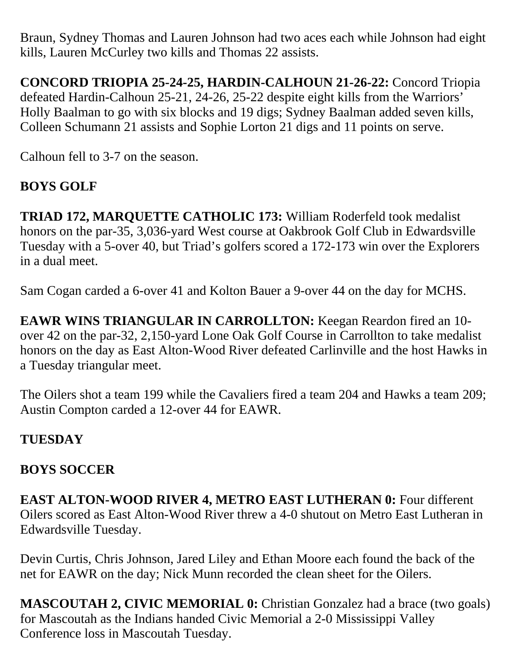Braun, Sydney Thomas and Lauren Johnson had two aces each while Johnson had eight kills, Lauren McCurley two kills and Thomas 22 assists.

**CONCORD TRIOPIA 25-24-25, HARDIN-CALHOUN 21-26-22:** Concord Triopia defeated Hardin-Calhoun 25-21, 24-26, 25-22 despite eight kills from the Warriors' Holly Baalman to go with six blocks and 19 digs; Sydney Baalman added seven kills, Colleen Schumann 21 assists and Sophie Lorton 21 digs and 11 points on serve.

Calhoun fell to 3-7 on the season.

## **BOYS GOLF**

**TRIAD 172, MARQUETTE CATHOLIC 173:** William Roderfeld took medalist honors on the par-35, 3,036-yard West course at Oakbrook Golf Club in Edwardsville Tuesday with a 5-over 40, but Triad's golfers scored a 172-173 win over the Explorers in a dual meet.

Sam Cogan carded a 6-over 41 and Kolton Bauer a 9-over 44 on the day for MCHS.

**EAWR WINS TRIANGULAR IN CARROLLTON:** Keegan Reardon fired an 10 over 42 on the par-32, 2,150-yard Lone Oak Golf Course in Carrollton to take medalist honors on the day as East Alton-Wood River defeated Carlinville and the host Hawks in a Tuesday triangular meet.

The Oilers shot a team 199 while the Cavaliers fired a team 204 and Hawks a team 209; Austin Compton carded a 12-over 44 for EAWR.

## **TUESDAY**

#### **BOYS SOCCER**

**EAST ALTON-WOOD RIVER 4, METRO EAST LUTHERAN 0:** Four different Oilers scored as East Alton-Wood River threw a 4-0 shutout on Metro East Lutheran in Edwardsville Tuesday.

Devin Curtis, Chris Johnson, Jared Liley and Ethan Moore each found the back of the net for EAWR on the day; Nick Munn recorded the clean sheet for the Oilers.

**MASCOUTAH 2, CIVIC MEMORIAL 0:** Christian Gonzalez had a brace (two goals) for Mascoutah as the Indians handed Civic Memorial a 2-0 Mississippi Valley Conference loss in Mascoutah Tuesday.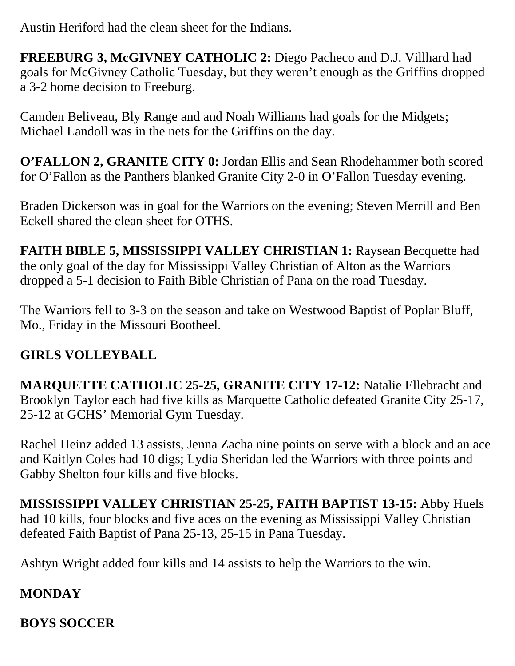Austin Heriford had the clean sheet for the Indians.

**FREEBURG 3, McGIVNEY CATHOLIC 2:** Diego Pacheco and D.J. Villhard had goals for McGivney Catholic Tuesday, but they weren't enough as the Griffins dropped a 3-2 home decision to Freeburg.

Camden Beliveau, Bly Range and and Noah Williams had goals for the Midgets; Michael Landoll was in the nets for the Griffins on the day.

**O'FALLON 2, GRANITE CITY 0:** Jordan Ellis and Sean Rhodehammer both scored for O'Fallon as the Panthers blanked Granite City 2-0 in O'Fallon Tuesday evening.

Braden Dickerson was in goal for the Warriors on the evening; Steven Merrill and Ben Eckell shared the clean sheet for OTHS.

FAITH BIBLE 5, MISSISSIPPI VALLEY CHRISTIAN 1: Raysean Becquette had the only goal of the day for Mississippi Valley Christian of Alton as the Warriors dropped a 5-1 decision to Faith Bible Christian of Pana on the road Tuesday.

The Warriors fell to 3-3 on the season and take on Westwood Baptist of Poplar Bluff, Mo., Friday in the Missouri Bootheel.

## **GIRLS VOLLEYBALL**

**MARQUETTE CATHOLIC 25-25, GRANITE CITY 17-12:** Natalie Ellebracht and Brooklyn Taylor each had five kills as Marquette Catholic defeated Granite City 25-17, 25-12 at GCHS' Memorial Gym Tuesday.

Rachel Heinz added 13 assists, Jenna Zacha nine points on serve with a block and an ace and Kaitlyn Coles had 10 digs; Lydia Sheridan led the Warriors with three points and Gabby Shelton four kills and five blocks.

**MISSISSIPPI VALLEY CHRISTIAN 25-25, FAITH BAPTIST 13-15:** Abby Huels had 10 kills, four blocks and five aces on the evening as Mississippi Valley Christian defeated Faith Baptist of Pana 25-13, 25-15 in Pana Tuesday.

Ashtyn Wright added four kills and 14 assists to help the Warriors to the win.

# **MONDAY**

## **BOYS SOCCER**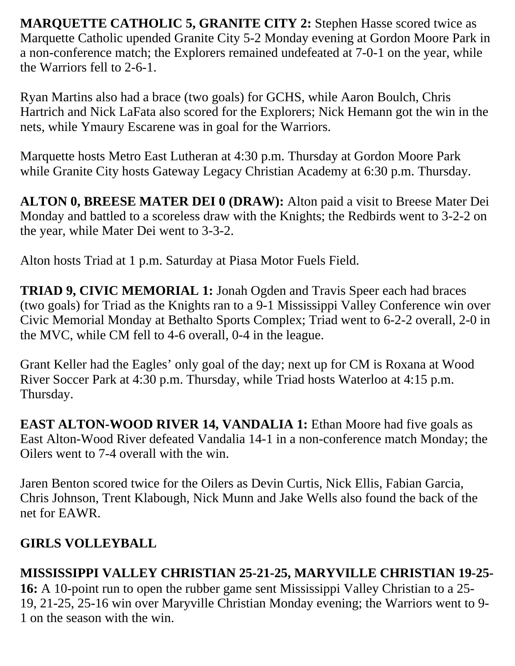**MARQUETTE CATHOLIC 5, GRANITE CITY 2: Stephen Hasse scored twice as** Marquette Catholic upended Granite City 5-2 Monday evening at Gordon Moore Park in a non-conference match; the Explorers remained undefeated at 7-0-1 on the year, while the Warriors fell to 2-6-1.

Ryan Martins also had a brace (two goals) for GCHS, while Aaron Boulch, Chris Hartrich and Nick LaFata also scored for the Explorers; Nick Hemann got the win in the nets, while Ymaury Escarene was in goal for the Warriors.

Marquette hosts Metro East Lutheran at 4:30 p.m. Thursday at Gordon Moore Park while Granite City hosts Gateway Legacy Christian Academy at 6:30 p.m. Thursday.

**ALTON 0, BREESE MATER DEI 0 (DRAW):** Alton paid a visit to Breese Mater Dei Monday and battled to a scoreless draw with the Knights; the Redbirds went to 3-2-2 on the year, while Mater Dei went to 3-3-2.

Alton hosts Triad at 1 p.m. Saturday at Piasa Motor Fuels Field.

**TRIAD 9, CIVIC MEMORIAL 1:** Jonah Ogden and Travis Speer each had braces (two goals) for Triad as the Knights ran to a 9-1 Mississippi Valley Conference win over Civic Memorial Monday at Bethalto Sports Complex; Triad went to 6-2-2 overall, 2-0 in the MVC, while CM fell to 4-6 overall, 0-4 in the league.

Grant Keller had the Eagles' only goal of the day; next up for CM is Roxana at Wood River Soccer Park at 4:30 p.m. Thursday, while Triad hosts Waterloo at 4:15 p.m. Thursday.

**EAST ALTON-WOOD RIVER 14, VANDALIA 1:** Ethan Moore had five goals as East Alton-Wood River defeated Vandalia 14-1 in a non-conference match Monday; the Oilers went to 7-4 overall with the win.

Jaren Benton scored twice for the Oilers as Devin Curtis, Nick Ellis, Fabian Garcia, Chris Johnson, Trent Klabough, Nick Munn and Jake Wells also found the back of the net for EAWR.

## **GIRLS VOLLEYBALL**

#### **MISSISSIPPI VALLEY CHRISTIAN 25-21-25, MARYVILLE CHRISTIAN 19-25-**

**16:** A 10-point run to open the rubber game sent Mississippi Valley Christian to a 25- 19, 21-25, 25-16 win over Maryville Christian Monday evening; the Warriors went to 9- 1 on the season with the win.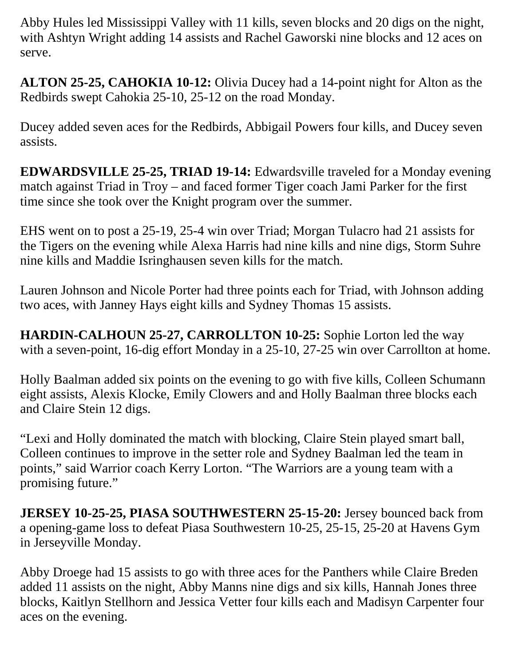Abby Hules led Mississippi Valley with 11 kills, seven blocks and 20 digs on the night, with Ashtyn Wright adding 14 assists and Rachel Gaworski nine blocks and 12 aces on serve.

**ALTON 25-25, CAHOKIA 10-12:** Olivia Ducey had a 14-point night for Alton as the Redbirds swept Cahokia 25-10, 25-12 on the road Monday.

Ducey added seven aces for the Redbirds, Abbigail Powers four kills, and Ducey seven assists.

**EDWARDSVILLE 25-25, TRIAD 19-14:** Edwardsville traveled for a Monday evening match against Triad in Troy – and faced former Tiger coach Jami Parker for the first time since she took over the Knight program over the summer.

EHS went on to post a 25-19, 25-4 win over Triad; Morgan Tulacro had 21 assists for the Tigers on the evening while Alexa Harris had nine kills and nine digs, Storm Suhre nine kills and Maddie Isringhausen seven kills for the match.

Lauren Johnson and Nicole Porter had three points each for Triad, with Johnson adding two aces, with Janney Hays eight kills and Sydney Thomas 15 assists.

**HARDIN-CALHOUN 25-27, CARROLLTON 10-25:** Sophie Lorton led the way with a seven-point, 16-dig effort Monday in a 25-10, 27-25 win over Carrollton at home.

Holly Baalman added six points on the evening to go with five kills, Colleen Schumann eight assists, Alexis Klocke, Emily Clowers and and Holly Baalman three blocks each and Claire Stein 12 digs.

"Lexi and Holly dominated the match with blocking, Claire Stein played smart ball, Colleen continues to improve in the setter role and Sydney Baalman led the team in points," said Warrior coach Kerry Lorton. "The Warriors are a young team with a promising future."

**JERSEY 10-25-25, PIASA SOUTHWESTERN 25-15-20:** Jersey bounced back from a opening-game loss to defeat Piasa Southwestern 10-25, 25-15, 25-20 at Havens Gym in Jerseyville Monday.

Abby Droege had 15 assists to go with three aces for the Panthers while Claire Breden added 11 assists on the night, Abby Manns nine digs and six kills, Hannah Jones three blocks, Kaitlyn Stellhorn and Jessica Vetter four kills each and Madisyn Carpenter four aces on the evening.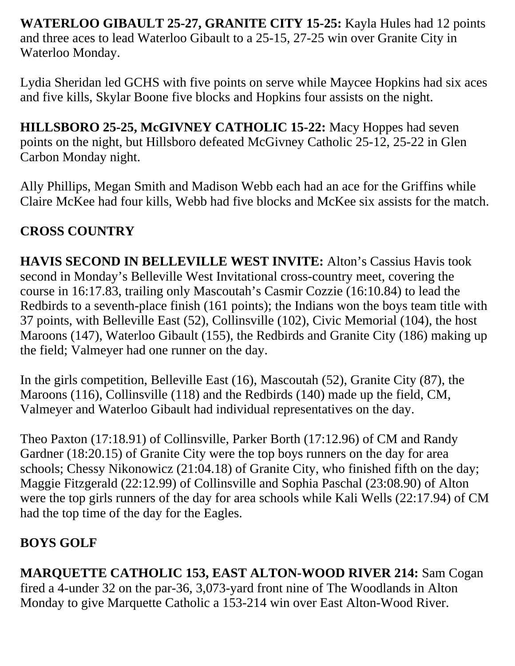**WATERLOO GIBAULT 25-27, GRANITE CITY 15-25:** Kayla Hules had 12 points and three aces to lead Waterloo Gibault to a 25-15, 27-25 win over Granite City in Waterloo Monday.

Lydia Sheridan led GCHS with five points on serve while Maycee Hopkins had six aces and five kills, Skylar Boone five blocks and Hopkins four assists on the night.

**HILLSBORO 25-25, McGIVNEY CATHOLIC 15-22:** Macy Hoppes had seven points on the night, but Hillsboro defeated McGivney Catholic 25-12, 25-22 in Glen Carbon Monday night.

Ally Phillips, Megan Smith and Madison Webb each had an ace for the Griffins while Claire McKee had four kills, Webb had five blocks and McKee six assists for the match.

## **CROSS COUNTRY**

**HAVIS SECOND IN BELLEVILLE WEST INVITE:** Alton's Cassius Havis took second in Monday's Belleville West Invitational cross-country meet, covering the course in 16:17.83, trailing only Mascoutah's Casmir Cozzie (16:10.84) to lead the Redbirds to a seventh-place finish (161 points); the Indians won the boys team title with 37 points, with Belleville East (52), Collinsville (102), Civic Memorial (104), the host Maroons (147), Waterloo Gibault (155), the Redbirds and Granite City (186) making up the field; Valmeyer had one runner on the day.

In the girls competition, Belleville East (16), Mascoutah (52), Granite City (87), the Maroons (116), Collinsville (118) and the Redbirds (140) made up the field, CM, Valmeyer and Waterloo Gibault had individual representatives on the day.

Theo Paxton (17:18.91) of Collinsville, Parker Borth (17:12.96) of CM and Randy Gardner (18:20.15) of Granite City were the top boys runners on the day for area schools; Chessy Nikonowicz (21:04.18) of Granite City, who finished fifth on the day; Maggie Fitzgerald (22:12.99) of Collinsville and Sophia Paschal (23:08.90) of Alton were the top girls runners of the day for area schools while Kali Wells (22:17.94) of CM had the top time of the day for the Eagles.

## **BOYS GOLF**

**MARQUETTE CATHOLIC 153, EAST ALTON-WOOD RIVER 214:** Sam Cogan fired a 4-under 32 on the par-36, 3,073-yard front nine of The Woodlands in Alton Monday to give Marquette Catholic a 153-214 win over East Alton-Wood River.